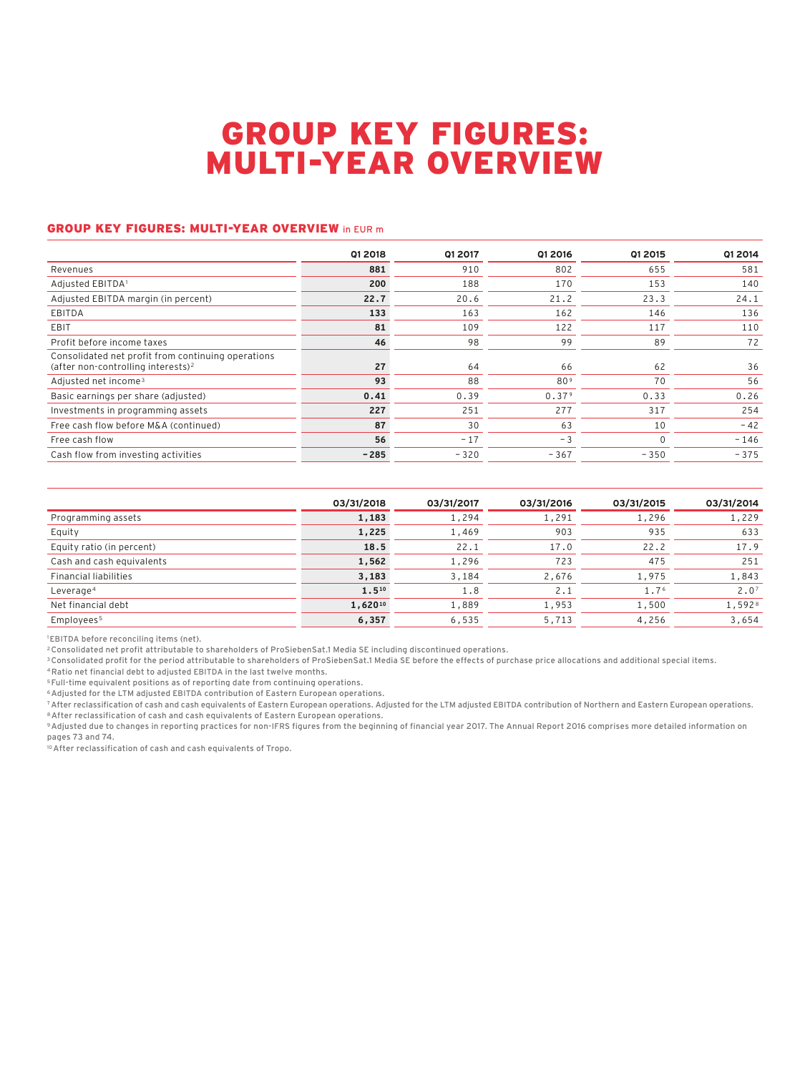# GROUP KEY FIGURES: MULTI-YEAR OVERVIEW

#### GROUP KEY FIGURES: MULTI-YEAR OVERVIEW in EUR m

|                                                                                                      | Q1 2018 | Q1 2017 | Q1 2016         | Q1 2015  | Q1 2014 |
|------------------------------------------------------------------------------------------------------|---------|---------|-----------------|----------|---------|
| Revenues                                                                                             | 881     | 910     | 802             | 655      | 581     |
| Adjusted EBITDA1                                                                                     | 200     | 188     | 170             | 153      | 140     |
| Adjusted EBITDA margin (in percent)                                                                  | 22.7    | 20.6    | 21.2            | 23.3     | 24.1    |
| EBITDA                                                                                               | 133     | 163     | 162             | 146      | 136     |
| <b>EBIT</b>                                                                                          | 81      | 109     | 122             | 117      | 110     |
| Profit before income taxes                                                                           | 46      | 98      | 99              | 89       | 72      |
| Consolidated net profit from continuing operations<br>(after non-controlling interests) <sup>2</sup> | 27      | 64      | 66              | 62       | 36      |
| Adjusted net income <sup>3</sup>                                                                     | 93      | 88      | 80 <sup>9</sup> | 70       | 56      |
| Basic earnings per share (adjusted)                                                                  | 0.41    | 0.39    | 0.379           | 0.33     | 0.26    |
| Investments in programming assets                                                                    | 227     | 251     | 277             | 317      | 254     |
| Free cash flow before M&A (continued)                                                                | 87      | 30      | 63              | 10       | $-42$   |
| Free cash flow                                                                                       | 56      | $-17$   | - 3             | $\Omega$ | $-146$  |
| Cash flow from investing activities                                                                  | $-285$  | $-320$  | $-367$          | $-350$   | $-375$  |

|                              | 03/31/2018   | 03/31/2017 | 03/31/2016 | 03/31/2015 | 03/31/2014       |
|------------------------------|--------------|------------|------------|------------|------------------|
| Programming assets           | 1,183        | 1,294      | 1,291      | 1,296      | 1,229            |
| Equity                       | 1,225        | 1,469      | 903        | 935        | 633              |
| Equity ratio (in percent)    | 18.5         | 22.1       | 17.0       | 22.2       | 17.9             |
| Cash and cash equivalents    | 1,562        | 1,296      | 723        | 475        | 251              |
| <b>Financial liabilities</b> | 3,183        | 3,184      | 2,676      | 1,975      | 1,843            |
| Leverage <sup>4</sup>        | 1.510        | 1.8        | 2.1        | 1.76       | 2.0 <sup>7</sup> |
| Net financial debt           | $1,620^{10}$ | 1,889      | 1,953      | 1,500      | 1,5928           |
| Employees <sup>5</sup>       | 6,357        | 6,535      | 5,713      | 4,256      | 3,654            |

1EBITDA before reconciling items (net).

2Consolidated net profit attributable to shareholders of ProSiebenSat.1 Media SE including discontinued operations.

<sup>3</sup> Consolidated profit for the period attributable to shareholders of ProSiebenSat.1 Media SE before the effects of purchase price allocations and additional special items.

4Ratio net financial debt to adjusted EBITDA in the last twelve months.

<sup>5</sup> Full-time equivalent positions as of reporting date from continuing operations.

6Adjusted for the LTM adjusted EBITDA contribution of Eastern European operations.

7After reclassification of cash and cash equivalents of Eastern European operations. Adjusted for the LTM adjusted EBITDA contribution of Northern and Eastern European operations. 8After reclassification of cash and cash equivalents of Eastern European operations.

9Adjusted due to changes in reporting practices for non-IFRS figures from the beginning of financial year 2017. The Annual Report 2016 comprises more detailed information on pages 73 and 74.

.<br><sup>10</sup> After reclassification of cash and cash equivalents of Tropo.